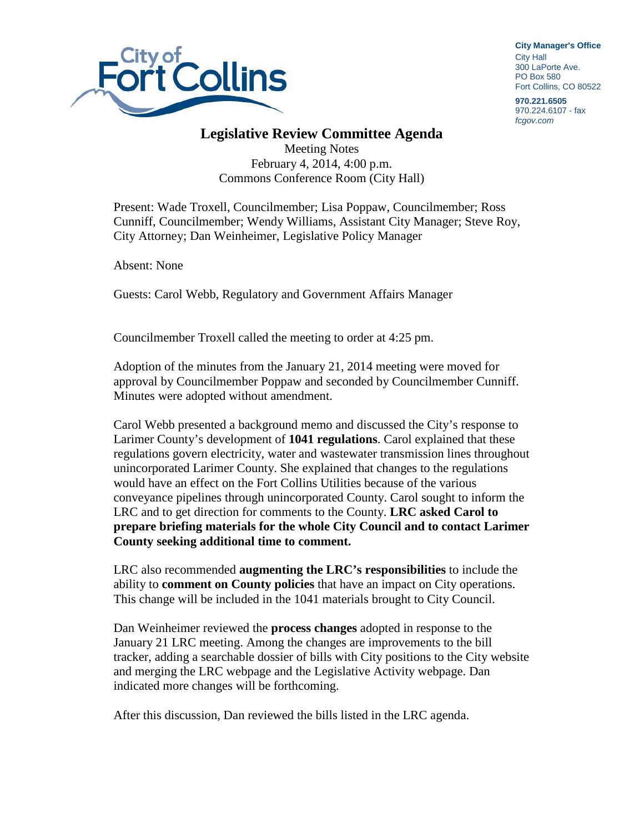

**City Manager**'**s Office** City Hall 300 LaPorte Ave. PO Box 580 Fort Collins, CO 80522

**970.221.6505** 970.224.6107 - fax *fcgov.com*

## **Legislative Review Committee Agenda**

Meeting Notes February 4, 2014, 4:00 p.m. Commons Conference Room (City Hall)

Present: Wade Troxell, Councilmember; Lisa Poppaw, Councilmember; Ross Cunniff, Councilmember; Wendy Williams, Assistant City Manager; Steve Roy, City Attorney; Dan Weinheimer, Legislative Policy Manager

Absent: None

Guests: Carol Webb, Regulatory and Government Affairs Manager

Councilmember Troxell called the meeting to order at 4:25 pm.

Adoption of the minutes from the January 21, 2014 meeting were moved for approval by Councilmember Poppaw and seconded by Councilmember Cunniff. Minutes were adopted without amendment.

Carol Webb presented a background memo and discussed the City's response to Larimer County's development of **1041 regulations**. Carol explained that these regulations govern electricity, water and wastewater transmission lines throughout unincorporated Larimer County. She explained that changes to the regulations would have an effect on the Fort Collins Utilities because of the various conveyance pipelines through unincorporated County. Carol sought to inform the LRC and to get direction for comments to the County. **LRC asked Carol to prepare briefing materials for the whole City Council and to contact Larimer County seeking additional time to comment.**

LRC also recommended **augmenting the LRC's responsibilities** to include the ability to **comment on County policies** that have an impact on City operations. This change will be included in the 1041 materials brought to City Council.

Dan Weinheimer reviewed the **process changes** adopted in response to the January 21 LRC meeting. Among the changes are improvements to the bill tracker, adding a searchable dossier of bills with City positions to the City website and merging the LRC webpage and the Legislative Activity webpage. Dan indicated more changes will be forthcoming.

After this discussion, Dan reviewed the bills listed in the LRC agenda.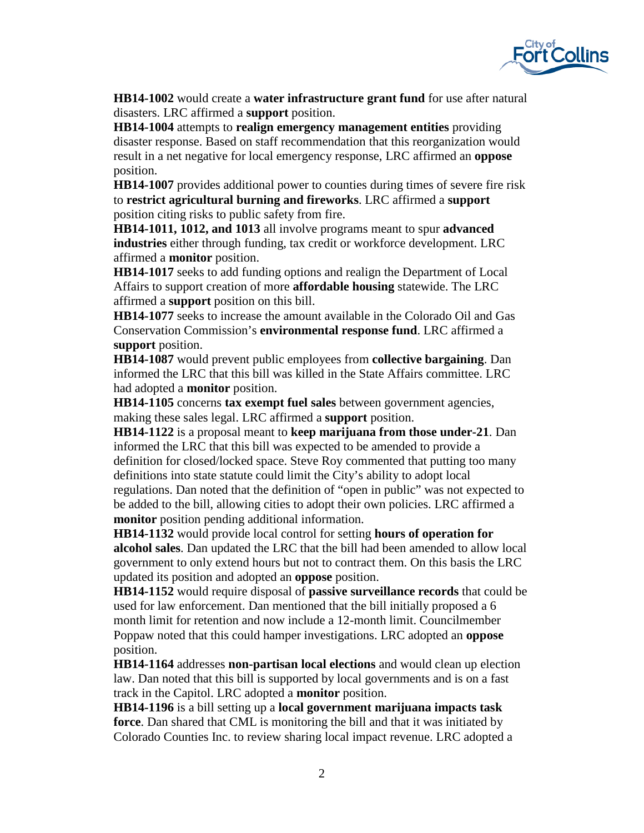

**HB14-1002** would create a **water infrastructure grant fund** for use after natural disasters. LRC affirmed a **support** position.

**HB14-1004** attempts to **realign emergency management entities** providing disaster response. Based on staff recommendation that this reorganization would result in a net negative for local emergency response, LRC affirmed an **oppose** position.

**HB14-1007** provides additional power to counties during times of severe fire risk to **restrict agricultural burning and fireworks**. LRC affirmed a **support** position citing risks to public safety from fire.

**HB14-1011, 1012, and 1013** all involve programs meant to spur **advanced industries** either through funding, tax credit or workforce development. LRC affirmed a **monitor** position.

**HB14-1017** seeks to add funding options and realign the Department of Local Affairs to support creation of more **affordable housing** statewide. The LRC affirmed a **support** position on this bill.

**HB14-1077** seeks to increase the amount available in the Colorado Oil and Gas Conservation Commission's **environmental response fund**. LRC affirmed a **support** position.

**HB14-1087** would prevent public employees from **collective bargaining**. Dan informed the LRC that this bill was killed in the State Affairs committee. LRC had adopted a **monitor** position.

**HB14-1105** concerns **tax exempt fuel sales** between government agencies, making these sales legal. LRC affirmed a **support** position.

**HB14-1122** is a proposal meant to **keep marijuana from those under-21**. Dan informed the LRC that this bill was expected to be amended to provide a definition for closed/locked space. Steve Roy commented that putting too many definitions into state statute could limit the City's ability to adopt local regulations. Dan noted that the definition of "open in public" was not expected to be added to the bill, allowing cities to adopt their own policies. LRC affirmed a **monitor** position pending additional information.

**HB14-1132** would provide local control for setting **hours of operation for alcohol sales**. Dan updated the LRC that the bill had been amended to allow local government to only extend hours but not to contract them. On this basis the LRC updated its position and adopted an **oppose** position.

**HB14-1152** would require disposal of **passive surveillance records** that could be used for law enforcement. Dan mentioned that the bill initially proposed a 6 month limit for retention and now include a 12-month limit. Councilmember Poppaw noted that this could hamper investigations. LRC adopted an **oppose** position.

**HB14-1164** addresses **non-partisan local elections** and would clean up election law. Dan noted that this bill is supported by local governments and is on a fast track in the Capitol. LRC adopted a **monitor** position.

**HB14-1196** is a bill setting up a **local government marijuana impacts task force**. Dan shared that CML is monitoring the bill and that it was initiated by Colorado Counties Inc. to review sharing local impact revenue. LRC adopted a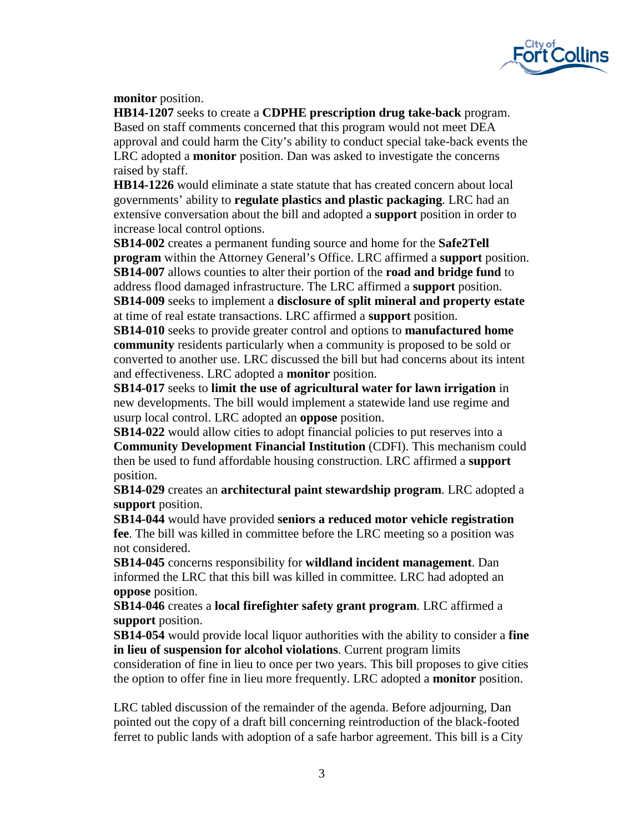

**monitor** position.

**HB14-1207** seeks to create a **CDPHE prescription drug take-back** program. Based on staff comments concerned that this program would not meet DEA approval and could harm the City's ability to conduct special take-back events the LRC adopted a **monitor** position. Dan was asked to investigate the concerns raised by staff.

**HB14-1226** would eliminate a state statute that has created concern about local governments' ability to **regulate plastics and plastic packaging**. LRC had an extensive conversation about the bill and adopted a **support** position in order to increase local control options.

**SB14-002** creates a permanent funding source and home for the **Safe2Tell program** within the Attorney General's Office. LRC affirmed a **support** position. **SB14-007** allows counties to alter their portion of the **road and bridge fund** to address flood damaged infrastructure. The LRC affirmed a **support** position. **SB14-009** seeks to implement a **disclosure of split mineral and property estate** at time of real estate transactions. LRC affirmed a **support** position.

**SB14-010** seeks to provide greater control and options to **manufactured home community** residents particularly when a community is proposed to be sold or converted to another use. LRC discussed the bill but had concerns about its intent and effectiveness. LRC adopted a **monitor** position.

**SB14-017** seeks to **limit the use of agricultural water for lawn irrigation** in new developments. The bill would implement a statewide land use regime and usurp local control. LRC adopted an **oppose** position.

**SB14-022** would allow cities to adopt financial policies to put reserves into a **Community Development Financial Institution** (CDFI). This mechanism could then be used to fund affordable housing construction. LRC affirmed a **support**  position.

**SB14-029** creates an **architectural paint stewardship program**. LRC adopted a **support** position.

**SB14-044** would have provided **seniors a reduced motor vehicle registration fee**. The bill was killed in committee before the LRC meeting so a position was not considered.

**SB14-045** concerns responsibility for **wildland incident management**. Dan informed the LRC that this bill was killed in committee. LRC had adopted an **oppose** position.

**SB14-046** creates a **local firefighter safety grant program**. LRC affirmed a **support** position.

**SB14-054** would provide local liquor authorities with the ability to consider a **fine in lieu of suspension for alcohol violations**. Current program limits consideration of fine in lieu to once per two years. This bill proposes to give cities the option to offer fine in lieu more frequently. LRC adopted a **monitor** position.

LRC tabled discussion of the remainder of the agenda. Before adjourning, Dan pointed out the copy of a draft bill concerning reintroduction of the black-footed ferret to public lands with adoption of a safe harbor agreement. This bill is a City